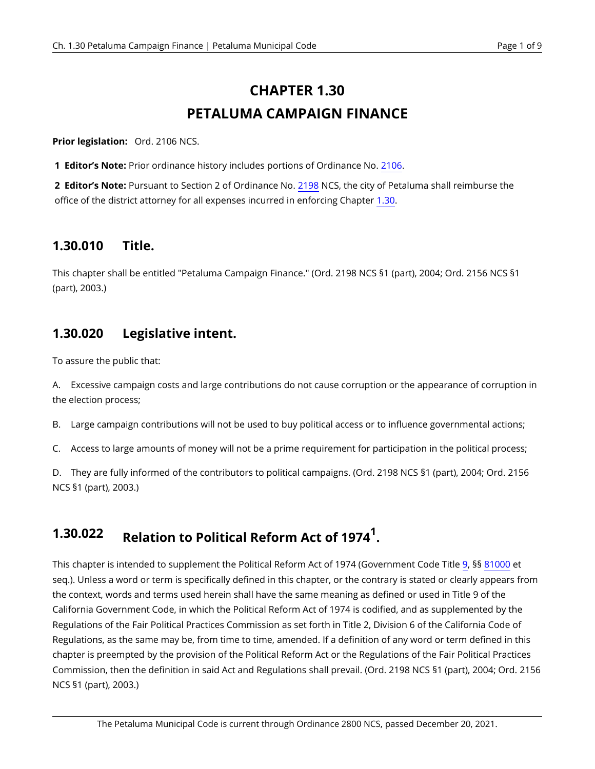# **CHAPTER 1.30 PETALUMA CAMPAIGN FINANCE**

<span id="page-0-0"></span>**Prior legislation:** Ord. 2106 NCS.

**1 Editor's Note:** Prior ordinance history includes portions of Ordinance No. [2106.](https://petaluma.municipal.codes/enactments/Ord2106?product=Code)

**2 Editor's Note:** Pursuant to Section 2 of Ordinance No. [2198](https://petaluma.municipal.codes/enactments/Ord2198?product=Code) NCS, the city of Petaluma shall reimburse the office of the district attorney for all expenses incurred in enforcing Chapter [1.30](#page-0-0).

### **1.30.010 Title.**

This chapter shall be entitled "Petaluma Campaign Finance." (Ord. 2198 NCS §1 (part), 2004; Ord. 2156 NCS §1 (part), 2003.)

#### **1.30.020 Legislative intent.**

To assure the public that:

A. Excessive campaign costs and large contributions do not cause corruption or the appearance of corruption in the election process;

B. Large campaign contributions will not be used to buy political access or to influence governmental actions;

C. Access to large amounts of money will not be a prime requirement for participation in the political process;

D. They are fully informed of the contributors to political campaigns. (Ord. 2198 NCS §1 (part), 2004; Ord. 2156 NCS §1 (part), 2003.)

## **1.30.022 Relation to Political Reform Act of 1974<sup>1</sup> .**

This chapter is intended to supplement the Political Reform Act of 1974 (Government Code Title [9](https://petaluma.municipal.codes/CA/GOV/T9), §§ [81000](https://petaluma.municipal.codes/CA/GOV/81000) et seq.). Unless a word or term is specifically defined in this chapter, or the contrary is stated or clearly appears from the context, words and terms used herein shall have the same meaning as defined or used in Title 9 of the California Government Code, in which the Political Reform Act of 1974 is codified, and as supplemented by the Regulations of the Fair Political Practices Commission as set forth in Title 2, Division 6 of the California Code of Regulations, as the same may be, from time to time, amended. If a definition of any word or term defined in this chapter is preempted by the provision of the Political Reform Act or the Regulations of the Fair Political Practices Commission, then the definition in said Act and Regulations shall prevail. (Ord. 2198 NCS §1 (part), 2004; Ord. 2156 NCS §1 (part), 2003.)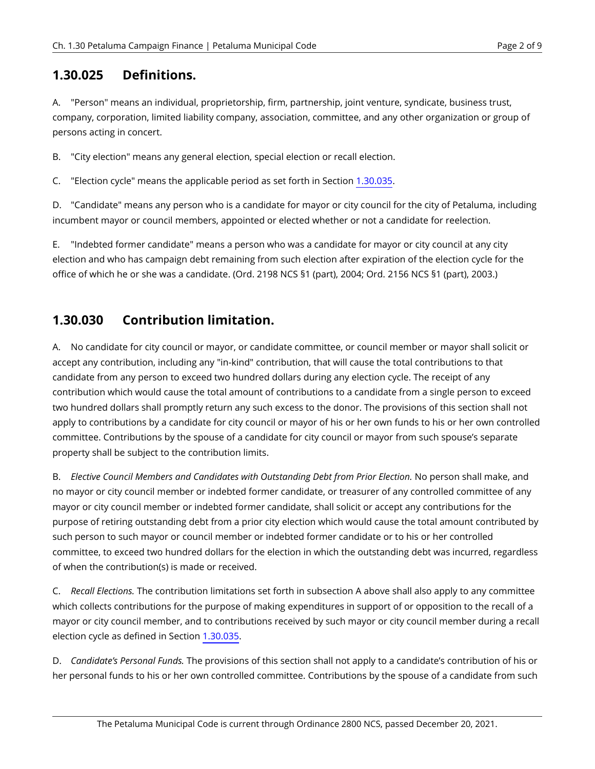#### **1.30.025 Definitions.**

A. "Person" means an individual, proprietorship, firm, partnership, joint venture, syndicate, business trust, company, corporation, limited liability company, association, committee, and any other organization or group of persons acting in concert.

B. "City election" means any general election, special election or recall election.

C. "Election cycle" means the applicable period as set forth in Section [1.30.035](#page-2-0).

D. "Candidate" means any person who is a candidate for mayor or city council for the city of Petaluma, including incumbent mayor or council members, appointed or elected whether or not a candidate for reelection.

E. "Indebted former candidate" means a person who was a candidate for mayor or city council at any city election and who has campaign debt remaining from such election after expiration of the election cycle for the office of which he or she was a candidate. (Ord. 2198 NCS §1 (part), 2004; Ord. 2156 NCS §1 (part), 2003.)

#### <span id="page-1-1"></span>**1.30.030 Contribution limitation.**

<span id="page-1-0"></span>A. No candidate for city council or mayor, or candidate committee, or council member or mayor shall solicit or accept any contribution, including any "in-kind" contribution, that will cause the total contributions to that candidate from any person to exceed two hundred dollars during any election cycle. The receipt of any contribution which would cause the total amount of contributions to a candidate from a single person to exceed two hundred dollars shall promptly return any such excess to the donor. The provisions of this section shall not apply to contributions by a candidate for city council or mayor of his or her own funds to his or her own controlled committee. Contributions by the spouse of a candidate for city council or mayor from such spouse's separate property shall be subject to the contribution limits.

B. *Elective Council Members and Candidates with Outstanding Debt from Prior Election.* No person shall make, and no mayor or city council member or indebted former candidate, or treasurer of any controlled committee of any mayor or city council member or indebted former candidate, shall solicit or accept any contributions for the purpose of retiring outstanding debt from a prior city election which would cause the total amount contributed by such person to such mayor or council member or indebted former candidate or to his or her controlled committee, to exceed two hundred dollars for the election in which the outstanding debt was incurred, regardless of when the contribution(s) is made or received.

C. *Recall Elections.* The contribution limitations set forth in subsection A above shall also apply to any committee which collects contributions for the purpose of making expenditures in support of or opposition to the recall of a mayor or city council member, and to contributions received by such mayor or city council member during a recall election cycle as defined in Section [1.30.035](#page-2-0).

D. *Candidate's Personal Funds.* The provisions of this section shall not apply to a candidate's contribution of his or her personal funds to his or her own controlled committee. Contributions by the spouse of a candidate from such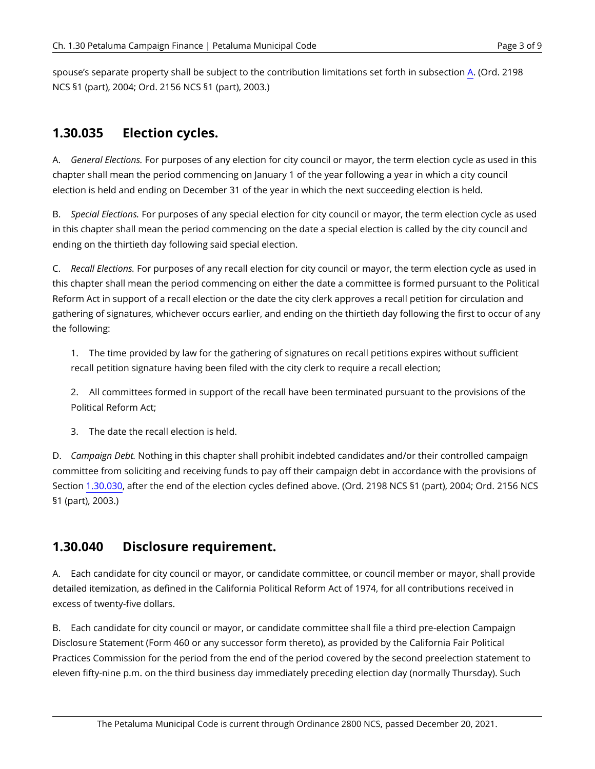spouse's separate property shall be subject to the contribution limitations set forth in subsection [A](#page-1-0). (Ord. 2198 NCS §1 (part), 2004; Ord. 2156 NCS §1 (part), 2003.)

## <span id="page-2-0"></span>**1.30.035 Election cycles.**

A. *General Elections.* For purposes of any election for city council or mayor, the term election cycle as used in this chapter shall mean the period commencing on January 1 of the year following a year in which a city council election is held and ending on December 31 of the year in which the next succeeding election is held.

B. *Special Elections.* For purposes of any special election for city council or mayor, the term election cycle as used in this chapter shall mean the period commencing on the date a special election is called by the city council and ending on the thirtieth day following said special election.

C. *Recall Elections.* For purposes of any recall election for city council or mayor, the term election cycle as used in this chapter shall mean the period commencing on either the date a committee is formed pursuant to the Political Reform Act in support of a recall election or the date the city clerk approves a recall petition for circulation and gathering of signatures, whichever occurs earlier, and ending on the thirtieth day following the first to occur of any the following:

1. The time provided by law for the gathering of signatures on recall petitions expires without sufficient recall petition signature having been filed with the city clerk to require a recall election;

2. All committees formed in support of the recall have been terminated pursuant to the provisions of the Political Reform Act;

3. The date the recall election is held.

D. *Campaign Debt.* Nothing in this chapter shall prohibit indebted candidates and/or their controlled campaign committee from soliciting and receiving funds to pay off their campaign debt in accordance with the provisions of Section [1.30.030](#page-1-1), after the end of the election cycles defined above. (Ord. 2198 NCS §1 (part), 2004; Ord. 2156 NCS §1 (part), 2003.)

#### **1.30.040 Disclosure requirement.**

A. Each candidate for city council or mayor, or candidate committee, or council member or mayor, shall provide detailed itemization, as defined in the California Political Reform Act of 1974, for all contributions received in excess of twenty-five dollars.

<span id="page-2-1"></span>B. Each candidate for city council or mayor, or candidate committee shall file a third pre-election Campaign Disclosure Statement (Form 460 or any successor form thereto), as provided by the California Fair Political Practices Commission for the period from the end of the period covered by the second preelection statement to eleven fifty-nine p.m. on the third business day immediately preceding election day (normally Thursday). Such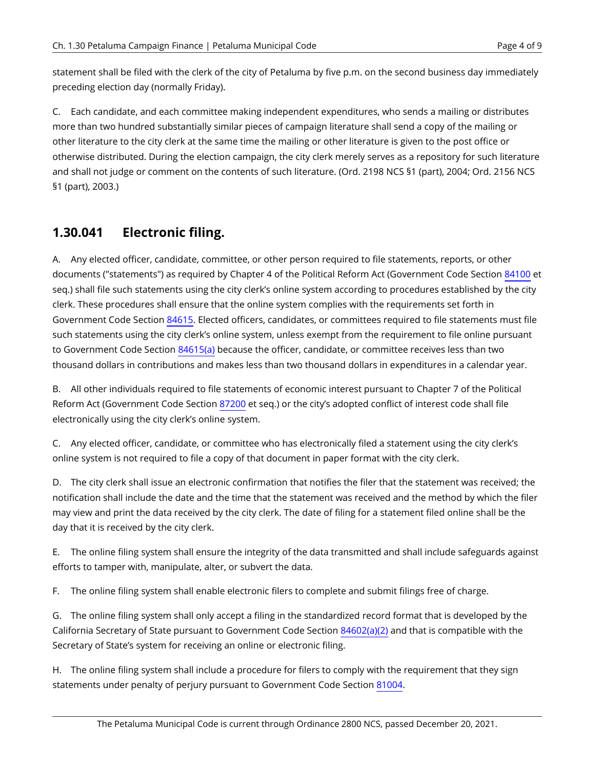statement shall be filed with the clerk of the city of Petaluma by five p.m. on the second business day immediately preceding election day (normally Friday).

C. Each candidate, and each committee making independent expenditures, who sends a mailing or distributes more than two hundred substantially similar pieces of campaign literature shall send a copy of the mailing or other literature to the city clerk at the same time the mailing or other literature is given to the post office or otherwise distributed. During the election campaign, the city clerk merely serves as a repository for such literature and shall not judge or comment on the contents of such literature. (Ord. 2198 NCS §1 (part), 2004; Ord. 2156 NCS §1 (part), 2003.)

### **1.30.041 Electronic filing.**

A. Any elected officer, candidate, committee, or other person required to file statements, reports, or other documents ("statements") as required by Chapter 4 of the Political Reform Act (Government Code Section [84100](https://petaluma.municipal.codes/CA/GOV/84100) et seq.) shall file such statements using the city clerk's online system according to procedures established by the city clerk. These procedures shall ensure that the online system complies with the requirements set forth in Government Code Section [84615.](https://petaluma.municipal.codes/CA/GOV/84615) Elected officers, candidates, or committees required to file statements must file such statements using the city clerk's online system, unless exempt from the requirement to file online pursuant to Government Code Section [84615\(a\)](https://petaluma.municipal.codes/CA/GOV/84615(a)) because the officer, candidate, or committee receives less than two thousand dollars in contributions and makes less than two thousand dollars in expenditures in a calendar year.

B. All other individuals required to file statements of economic interest pursuant to Chapter 7 of the Political Reform Act (Government Code Section [87200](https://petaluma.municipal.codes/CA/GOV/87200) et seq.) or the city's adopted conflict of interest code shall file electronically using the city clerk's online system.

C. Any elected officer, candidate, or committee who has electronically filed a statement using the city clerk's online system is not required to file a copy of that document in paper format with the city clerk.

D. The city clerk shall issue an electronic confirmation that notifies the filer that the statement was received; the notification shall include the date and the time that the statement was received and the method by which the filer may view and print the data received by the city clerk. The date of filing for a statement filed online shall be the day that it is received by the city clerk.

E. The online filing system shall ensure the integrity of the data transmitted and shall include safeguards against efforts to tamper with, manipulate, alter, or subvert the data.

F. The online filing system shall enable electronic filers to complete and submit filings free of charge.

G. The online filing system shall only accept a filing in the standardized record format that is developed by the California Secretary of State pursuant to Government Code Section [84602\(a\)\(2\)](https://petaluma.municipal.codes/CA/GOV/84602(a)(2)) and that is compatible with the Secretary of State's system for receiving an online or electronic filing.

H. The online filing system shall include a procedure for filers to comply with the requirement that they sign statements under penalty of perjury pursuant to Government Code Section [81004.](https://petaluma.municipal.codes/CA/GOV/81004)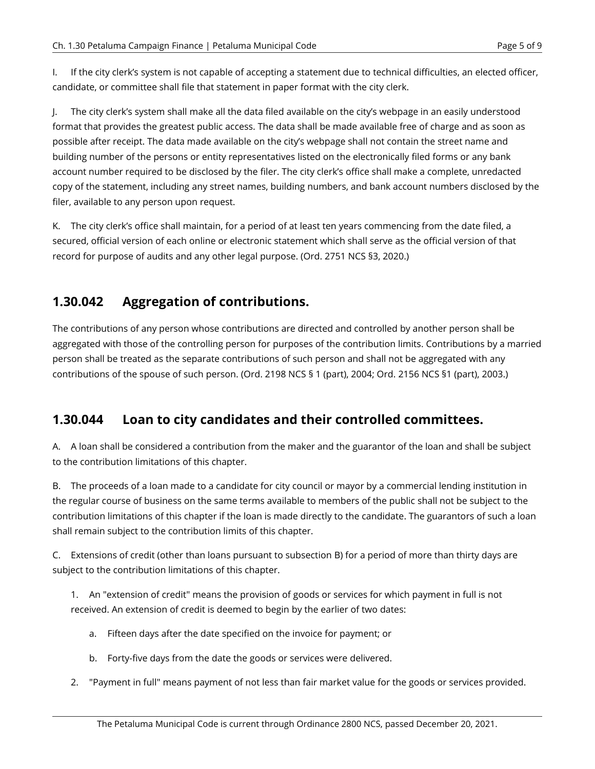I. If the city clerk's system is not capable of accepting a statement due to technical difficulties, an elected officer, candidate, or committee shall file that statement in paper format with the city clerk.

J. The city clerk's system shall make all the data filed available on the city's webpage in an easily understood format that provides the greatest public access. The data shall be made available free of charge and as soon as possible after receipt. The data made available on the city's webpage shall not contain the street name and building number of the persons or entity representatives listed on the electronically filed forms or any bank account number required to be disclosed by the filer. The city clerk's office shall make a complete, unredacted copy of the statement, including any street names, building numbers, and bank account numbers disclosed by the filer, available to any person upon request.

K. The city clerk's office shall maintain, for a period of at least ten years commencing from the date filed, a secured, official version of each online or electronic statement which shall serve as the official version of that record for purpose of audits and any other legal purpose. (Ord. 2751 NCS §3, 2020.)

#### <span id="page-4-0"></span>**1.30.042 Aggregation of contributions.**

The contributions of any person whose contributions are directed and controlled by another person shall be aggregated with those of the controlling person for purposes of the contribution limits. Contributions by a married person shall be treated as the separate contributions of such person and shall not be aggregated with any contributions of the spouse of such person. (Ord. 2198 NCS § 1 (part), 2004; Ord. 2156 NCS §1 (part), 2003.)

### **1.30.044 Loan to city candidates and their controlled committees.**

A. A loan shall be considered a contribution from the maker and the guarantor of the loan and shall be subject to the contribution limitations of this chapter.

B. The proceeds of a loan made to a candidate for city council or mayor by a commercial lending institution in the regular course of business on the same terms available to members of the public shall not be subject to the contribution limitations of this chapter if the loan is made directly to the candidate. The guarantors of such a loan shall remain subject to the contribution limits of this chapter.

C. Extensions of credit (other than loans pursuant to subsection B) for a period of more than thirty days are subject to the contribution limitations of this chapter.

1. An "extension of credit" means the provision of goods or services for which payment in full is not received. An extension of credit is deemed to begin by the earlier of two dates:

- a. Fifteen days after the date specified on the invoice for payment; or
- b. Forty-five days from the date the goods or services were delivered.
- 2. "Payment in full" means payment of not less than fair market value for the goods or services provided.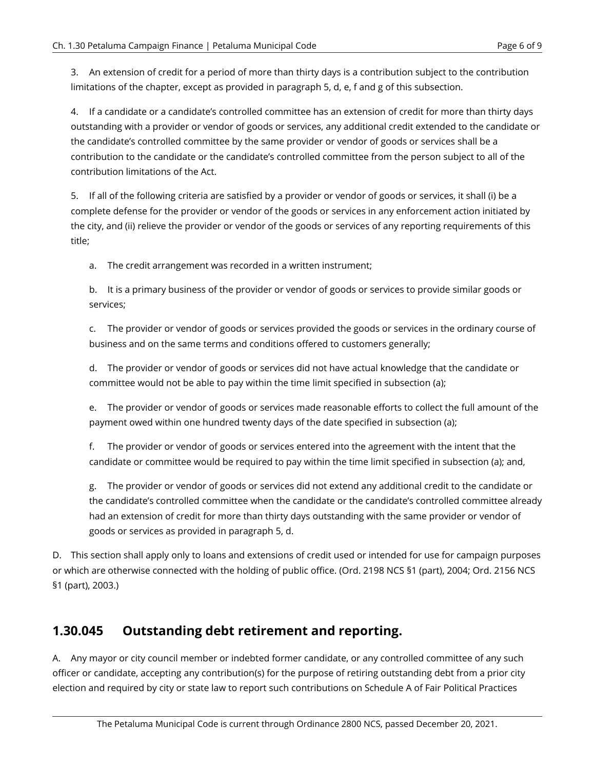3. An extension of credit for a period of more than thirty days is a contribution subject to the contribution limitations of the chapter, except as provided in paragraph 5, d, e, f and g of this subsection.

4. If a candidate or a candidate's controlled committee has an extension of credit for more than thirty days outstanding with a provider or vendor of goods or services, any additional credit extended to the candidate or the candidate's controlled committee by the same provider or vendor of goods or services shall be a contribution to the candidate or the candidate's controlled committee from the person subject to all of the contribution limitations of the Act.

5. If all of the following criteria are satisfied by a provider or vendor of goods or services, it shall (i) be a complete defense for the provider or vendor of the goods or services in any enforcement action initiated by the city, and (ii) relieve the provider or vendor of the goods or services of any reporting requirements of this title;

a. The credit arrangement was recorded in a written instrument;

b. It is a primary business of the provider or vendor of goods or services to provide similar goods or services;

c. The provider or vendor of goods or services provided the goods or services in the ordinary course of business and on the same terms and conditions offered to customers generally;

d. The provider or vendor of goods or services did not have actual knowledge that the candidate or committee would not be able to pay within the time limit specified in subsection (a);

e. The provider or vendor of goods or services made reasonable efforts to collect the full amount of the payment owed within one hundred twenty days of the date specified in subsection (a);

f. The provider or vendor of goods or services entered into the agreement with the intent that the candidate or committee would be required to pay within the time limit specified in subsection (a); and,

g. The provider or vendor of goods or services did not extend any additional credit to the candidate or the candidate's controlled committee when the candidate or the candidate's controlled committee already had an extension of credit for more than thirty days outstanding with the same provider or vendor of goods or services as provided in paragraph 5, d.

D. This section shall apply only to loans and extensions of credit used or intended for use for campaign purposes or which are otherwise connected with the holding of public office. (Ord. 2198 NCS §1 (part), 2004; Ord. 2156 NCS §1 (part), 2003.)

#### **1.30.045 Outstanding debt retirement and reporting.**

A. Any mayor or city council member or indebted former candidate, or any controlled committee of any such officer or candidate, accepting any contribution(s) for the purpose of retiring outstanding debt from a prior city election and required by city or state law to report such contributions on Schedule A of Fair Political Practices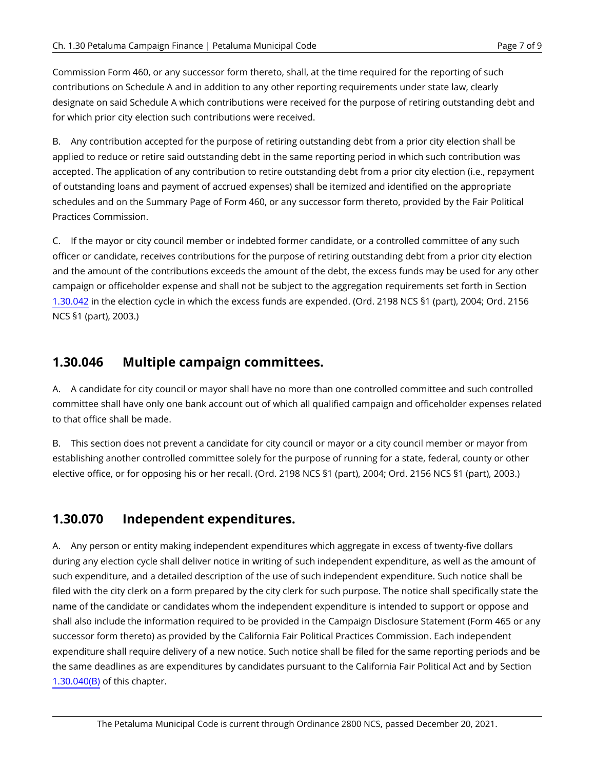Commission Form 460, or any successor form thereto, shall, at the time required for the reporting of such contributions on Schedule A and in addition to any other reporting requirements under state law, clearly designate on said Schedule A which contributions were received for the purpose of retiring outstanding debt and for which prior city election such contributions were received.

B. Any contribution accepted for the purpose of retiring outstanding debt from a prior city election shall be applied to reduce or retire said outstanding debt in the same reporting period in which such contribution was accepted. The application of any contribution to retire outstanding debt from a prior city election (i.e., repayment of outstanding loans and payment of accrued expenses) shall be itemized and identified on the appropriate schedules and on the Summary Page of Form 460, or any successor form thereto, provided by the Fair Political Practices Commission.

C. If the mayor or city council member or indebted former candidate, or a controlled committee of any such officer or candidate, receives contributions for the purpose of retiring outstanding debt from a prior city election and the amount of the contributions exceeds the amount of the debt, the excess funds may be used for any other campaign or officeholder expense and shall not be subject to the aggregation requirements set forth in Section [1.30.042](#page-4-0) in the election cycle in which the excess funds are expended. (Ord. 2198 NCS §1 (part), 2004; Ord. 2156 NCS §1 (part), 2003.)

#### **1.30.046 Multiple campaign committees.**

A. A candidate for city council or mayor shall have no more than one controlled committee and such controlled committee shall have only one bank account out of which all qualified campaign and officeholder expenses related to that office shall be made.

B. This section does not prevent a candidate for city council or mayor or a city council member or mayor from establishing another controlled committee solely for the purpose of running for a state, federal, county or other elective office, or for opposing his or her recall. (Ord. 2198 NCS §1 (part), 2004; Ord. 2156 NCS §1 (part), 2003.)

#### **1.30.070 Independent expenditures.**

A. Any person or entity making independent expenditures which aggregate in excess of twenty-five dollars during any election cycle shall deliver notice in writing of such independent expenditure, as well as the amount of such expenditure, and a detailed description of the use of such independent expenditure. Such notice shall be filed with the city clerk on a form prepared by the city clerk for such purpose. The notice shall specifically state the name of the candidate or candidates whom the independent expenditure is intended to support or oppose and shall also include the information required to be provided in the Campaign Disclosure Statement (Form 465 or any successor form thereto) as provided by the California Fair Political Practices Commission. Each independent expenditure shall require delivery of a new notice. Such notice shall be filed for the same reporting periods and be the same deadlines as are expenditures by candidates pursuant to the California Fair Political Act and by Section [1.30.040\(B\)](#page-2-1) of this chapter.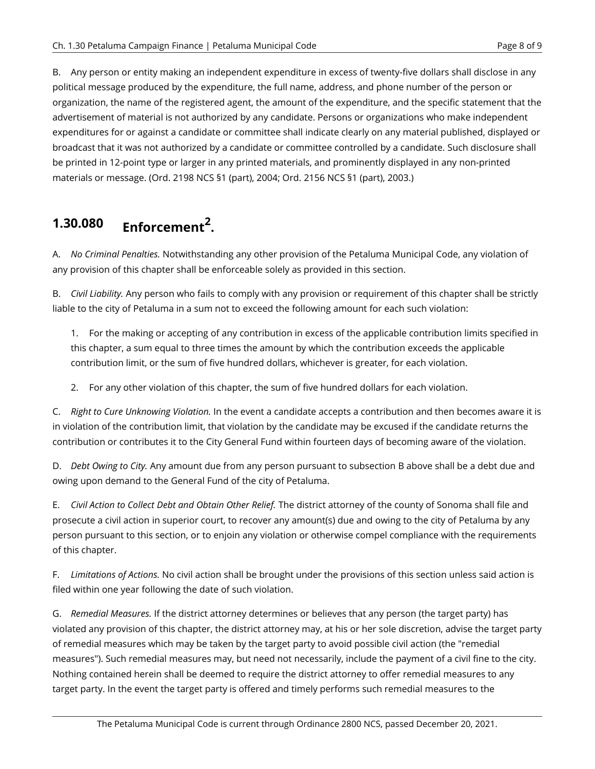B. Any person or entity making an independent expenditure in excess of twenty-five dollars shall disclose in any political message produced by the expenditure, the full name, address, and phone number of the person or organization, the name of the registered agent, the amount of the expenditure, and the specific statement that the advertisement of material is not authorized by any candidate. Persons or organizations who make independent expenditures for or against a candidate or committee shall indicate clearly on any material published, displayed or broadcast that it was not authorized by a candidate or committee controlled by a candidate. Such disclosure shall be printed in 12-point type or larger in any printed materials, and prominently displayed in any non-printed materials or message. (Ord. 2198 NCS §1 (part), 2004; Ord. 2156 NCS §1 (part), 2003.)

## **1.30.080 Enforcement<sup>2</sup> .**

A. *No Criminal Penalties.* Notwithstanding any other provision of the Petaluma Municipal Code, any violation of any provision of this chapter shall be enforceable solely as provided in this section.

B. *Civil Liability.* Any person who fails to comply with any provision or requirement of this chapter shall be strictly liable to the city of Petaluma in a sum not to exceed the following amount for each such violation:

1. For the making or accepting of any contribution in excess of the applicable contribution limits specified in this chapter, a sum equal to three times the amount by which the contribution exceeds the applicable contribution limit, or the sum of five hundred dollars, whichever is greater, for each violation.

2. For any other violation of this chapter, the sum of five hundred dollars for each violation.

C. *Right to Cure Unknowing Violation.* In the event a candidate accepts a contribution and then becomes aware it is in violation of the contribution limit, that violation by the candidate may be excused if the candidate returns the contribution or contributes it to the City General Fund within fourteen days of becoming aware of the violation.

D. *Debt Owing to City.* Any amount due from any person pursuant to subsection B above shall be a debt due and owing upon demand to the General Fund of the city of Petaluma.

E. *Civil Action to Collect Debt and Obtain Other Relief.* The district attorney of the county of Sonoma shall file and prosecute a civil action in superior court, to recover any amount(s) due and owing to the city of Petaluma by any person pursuant to this section, or to enjoin any violation or otherwise compel compliance with the requirements of this chapter.

F. *Limitations of Actions.* No civil action shall be brought under the provisions of this section unless said action is filed within one year following the date of such violation.

G. *Remedial Measures.* If the district attorney determines or believes that any person (the target party) has violated any provision of this chapter, the district attorney may, at his or her sole discretion, advise the target party of remedial measures which may be taken by the target party to avoid possible civil action (the "remedial measures"). Such remedial measures may, but need not necessarily, include the payment of a civil fine to the city. Nothing contained herein shall be deemed to require the district attorney to offer remedial measures to any target party. In the event the target party is offered and timely performs such remedial measures to the